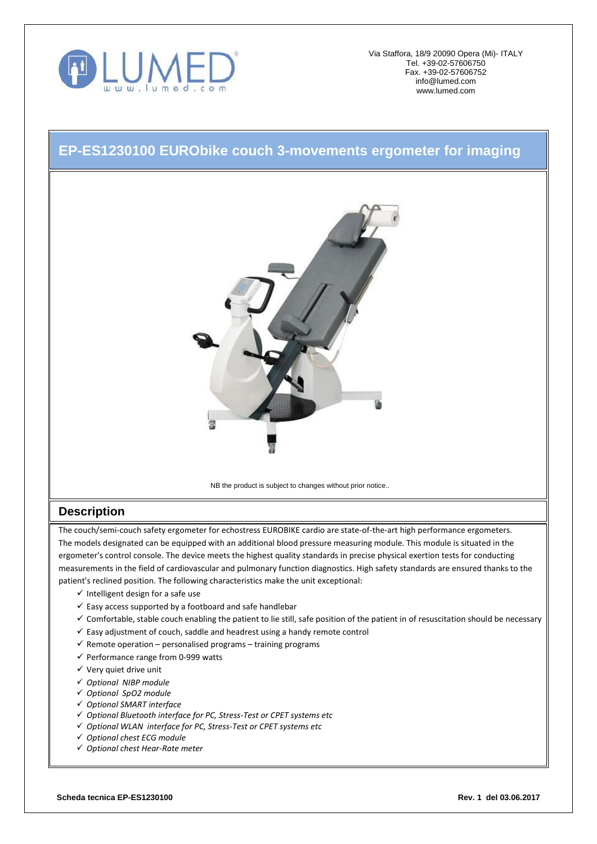

Via Staffora, 18/9 20090 Opera (Mi)- ITALY Tel. +39-02-57606750 Fax. +39-02-57606752 [info@lumed.com](mailto:lumed@libero.it) [www.lumed.com](http://www.lumed.com/)

## **EP-ES1230100 EURObike couch 3-movements ergometer for imaging**



NB the product is subject to changes without prior notice..

## **Description**

The couch/semi-couch safety ergometer for echostress EUROBIKE cardio are state-of-the-art high performance ergometers. The models designated can be equipped with an additional blood pressure measuring module. This module is situated in the ergometer's control console. The device meets the highest quality standards in precise physical exertion tests for conducting measurements in the field of cardiovascular and pulmonary function diagnostics. High safety standards are ensured thanks to the patient's reclined position. The following characteristics make the unit exceptional:

- $\checkmark$  Intelligent design for a safe use
- $\checkmark$  Easy access supported by a footboard and safe handlebar
- $\checkmark$  Comfortable, stable couch enabling the patient to lie still, safe position of the patient in of resuscitation should be necessary
- $\checkmark$  Easy adjustment of couch, saddle and headrest using a handy remote control
- $\checkmark$  Remote operation personalised programs training programs
- $\checkmark$  Performance range from 0-999 watts
- $\checkmark$  Very quiet drive unit
- *Optional NIBP module*
- *Optional SpO2 module*
- *Optional SMART interface*
- *Optional Bluetooth interface for PC, Stress-Test or CPET systems etc*
- *Optional WLAN interface for PC, Stress-Test or CPET systems etc*
- *Optional chest ECG module*
- *Optional chest Hear-Rate meter*